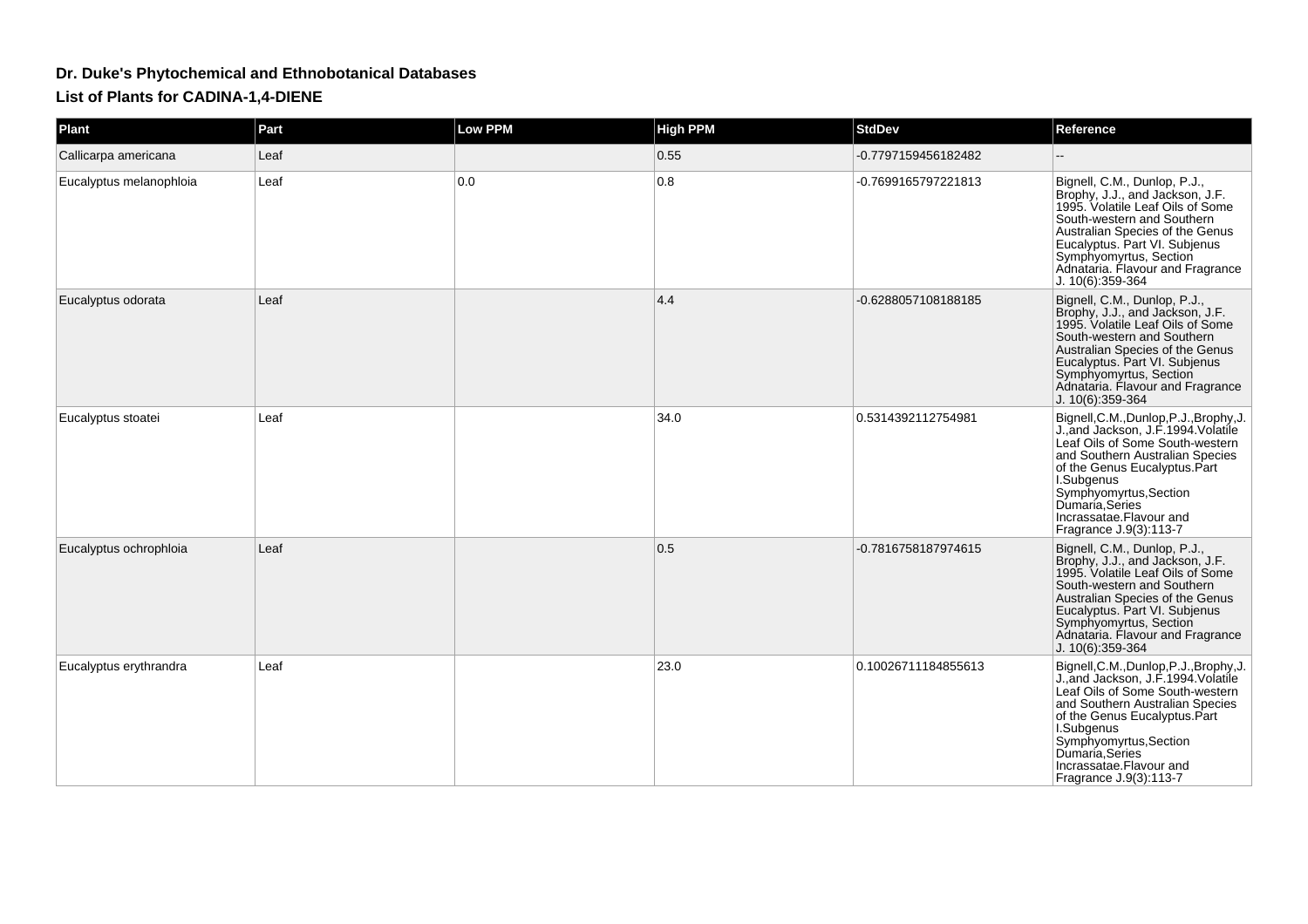## **Dr. Duke's Phytochemical and Ethnobotanical Databases**

**List of Plants for CADINA-1,4-DIENE**

| Plant                   | Part | <b>Low PPM</b> | <b>High PPM</b> | <b>StdDev</b>       | Reference                                                                                                                                                                                                                                                                                             |
|-------------------------|------|----------------|-----------------|---------------------|-------------------------------------------------------------------------------------------------------------------------------------------------------------------------------------------------------------------------------------------------------------------------------------------------------|
| Callicarpa americana    | Leaf |                | 0.55            | -0.7797159456182482 | $\overline{\phantom{a}}$                                                                                                                                                                                                                                                                              |
| Eucalyptus melanophloia | Leaf | 0.0            | 0.8             | -0.7699165797221813 | Bignell, C.M., Dunlop, P.J.,<br>Brophy, J.J., and Jackson, J.F.<br>1995. Volatile Leaf Oils of Some<br>South-western and Southern<br>Australian Species of the Genus<br>Eucalyptus. Part VI. Subjenus<br>Symphyomyrtus, Section<br>Adnataria. Flavour and Fragrance<br>J. 10(6):359-364               |
| Eucalyptus odorata      | Leaf |                | 4.4             | -0.6288057108188185 | Bignell, C.M., Dunlop, P.J.,<br>Brophy, J.J., and Jackson, J.F.<br>1995. Volatile Leaf Oils of Some<br>South-western and Southern<br>Australian Species of the Genus<br>Eucalyptus. Part VI. Subjenus<br>Symphyomyrtus, Section<br>Adnataria. Flavour and Fragrance<br>J. 10(6):359-364               |
| Eucalyptus stoatei      | Leaf |                | 34.0            | 0.5314392112754981  | Bignell, C.M., Dunlop, P.J., Brophy, J.<br>J., and Jackson, J.F. 1994. Volatile<br>Leaf Oils of Some South-western<br>and Southern Australian Species<br>of the Genus Eucalyptus.Part<br>I.Subgenus<br>Symphyomyrtus, Section<br>Dumaria, Series<br>Incrassatae.Flavour and<br>Fragrance J.9(3):113-7 |
| Eucalyptus ochrophloia  | Leaf |                | 0.5             | -0.7816758187974615 | Bignell, C.M., Dunlop, P.J.,<br>Brophy, J.J., and Jackson, J.F.<br>1995. Volatile Leaf Oils of Some<br>South-western and Southern<br>Australian Species of the Genus<br>Eucalyptus. Part VI. Subjenus<br>Symphyomyrtus, Section<br>Adnataria. Flavour and Fragrance<br>J. 10(6):359-364               |
| Eucalyptus erythrandra  | Leaf |                | 23.0            | 0.10026711184855613 | Bignell, C.M., Dunlop, P.J., Brophy, J.<br>J., and Jackson, J.F. 1994. Volatile<br>Leaf Oils of Some South-western<br>and Southern Australian Species<br>of the Genus Eucalyptus.Part<br>I.Subgenus<br>Symphyomyrtus, Section<br>Dumaría, Series<br>Incrassatae.Flavour and<br>Fragrance J.9(3):113-7 |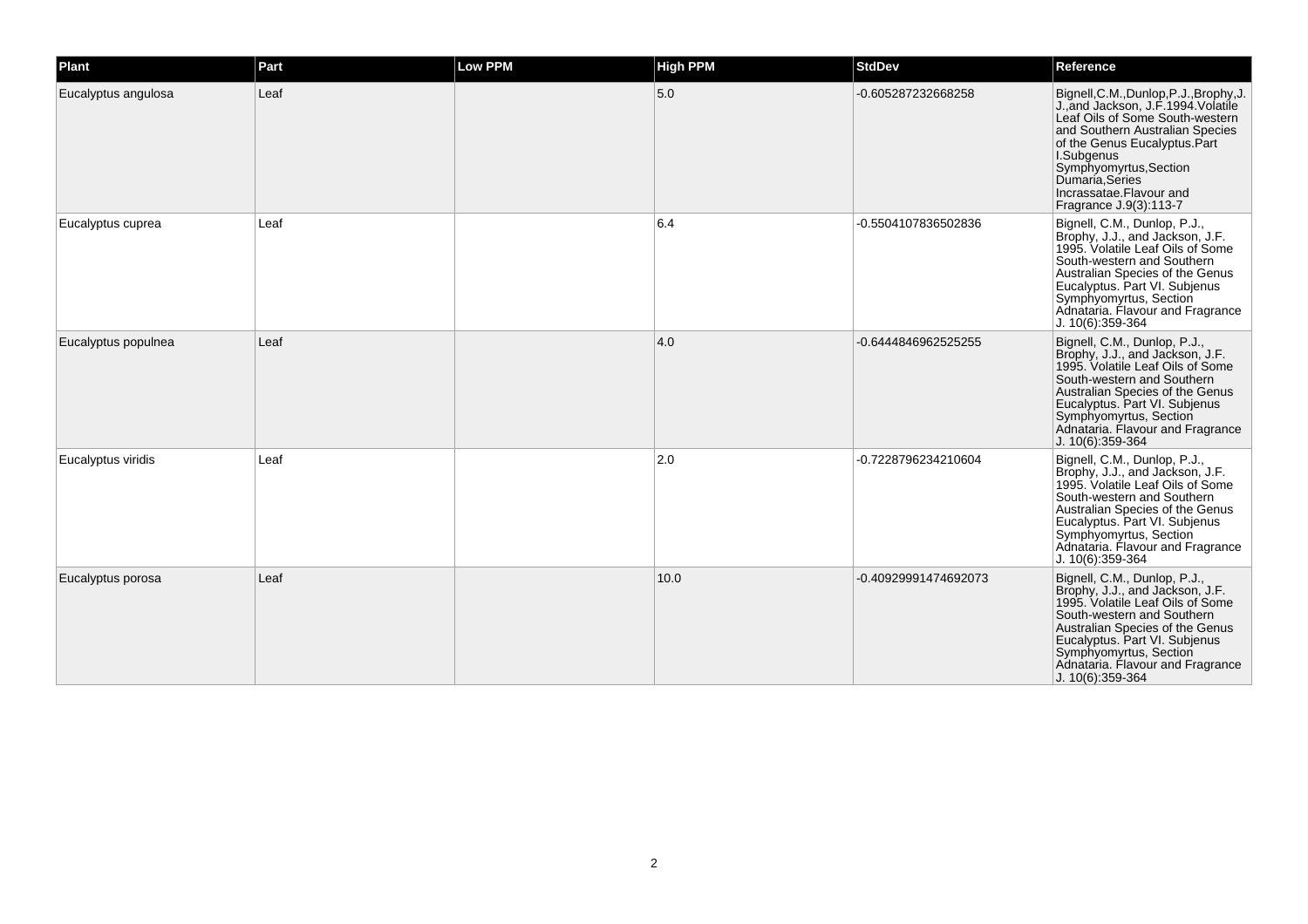| Plant               | Part | Low PPM | <b>High PPM</b> | <b>StdDev</b>        | Reference                                                                                                                                                                                                                                                                                             |
|---------------------|------|---------|-----------------|----------------------|-------------------------------------------------------------------------------------------------------------------------------------------------------------------------------------------------------------------------------------------------------------------------------------------------------|
| Eucalyptus angulosa | Leaf |         | 5.0             | -0.605287232668258   | Bignell, C.M., Dunlop, P.J., Brophy, J.<br>J., and Jackson, J.F. 1994. Volatile<br>Leaf Oils of Some South-western<br>and Southern Australian Species<br>of the Genus Eucalyptus.Part<br>I.Subgenus<br>Symphyomyrtus, Section<br>Dumaria, Series<br>Incrassatae.Flavour and<br>Fragrance J.9(3):113-7 |
| Eucalyptus cuprea   | Leaf |         | 6.4             | -0.5504107836502836  | Bignell, C.M., Dunlop, P.J.,<br>Brophy, J.J., and Jackson, J.F.<br>1995. Volatile Leaf Oils of Some<br>South-western and Southern<br>Australian Species of the Genus<br>Eucalyptus. Part VI. Subjenus<br>Symphyomyrtus, Section<br>Adnataria. Flavour and Fragrance<br>J. 10(6):359-364               |
| Eucalyptus populnea | Leaf |         | 4.0             | -0.6444846962525255  | Bignell, C.M., Dunlop, P.J.,<br>Brophy, J.J., and Jackson, J.F.<br>1995. Volatile Leaf Oils of Some<br>South-western and Southern<br>Australian Species of the Genus<br>Eucalyptus. Part VI. Subjenus<br>Symphyomyrtus, Section<br>Adnataria. Flavour and Fragrance<br>J. 10(6):359-364               |
| Eucalyptus viridis  | Leaf |         | 2.0             | -0.7228796234210604  | Bignell, C.M., Dunlop, P.J.,<br>Brophy, J.J., and Jackson, J.F.<br>1995. Volatile Leaf Oils of Some<br>South-western and Southern<br>Australian Species of the Genus<br>Eucalyptus. Part VI. Subjenus<br>Symphyomyrtus, Section<br>Adnataria. Flavour and Fragrance<br>J. 10(6):359-364               |
| Eucalyptus porosa   | Leaf |         | 10.0            | -0.40929991474692073 | Bignell, C.M., Dunlop, P.J.,<br>Brophy, J.J., and Jackson, J.F.<br>1995. Volatile Leaf Oils of Some<br>South-western and Southern<br>Australian Species of the Genus<br>Eucalyptus. Part VI. Subjenus<br>Symphyomyrtus, Section<br>Adnataria. Flavour and Fragrance<br>J. 10(6):359-364               |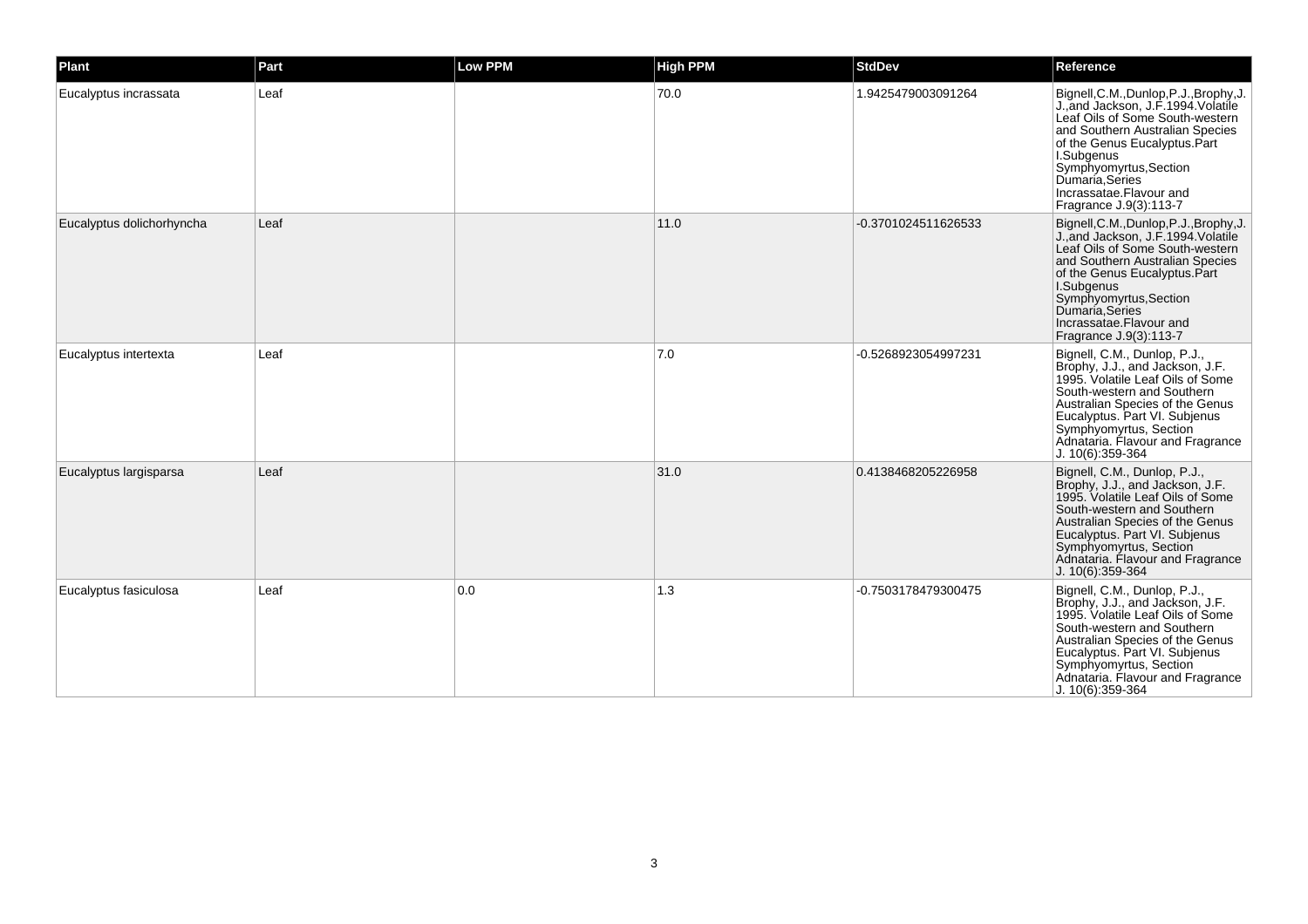| Plant                     | Part | <b>Low PPM</b> | <b>High PPM</b> | <b>StdDev</b>       | Reference                                                                                                                                                                                                                                                                                             |
|---------------------------|------|----------------|-----------------|---------------------|-------------------------------------------------------------------------------------------------------------------------------------------------------------------------------------------------------------------------------------------------------------------------------------------------------|
| Eucalyptus incrassata     | Leaf |                | 70.0            | 1.9425479003091264  | Bignell, C.M., Dunlop, P.J., Brophy, J.<br>J., and Jackson, J.F. 1994. Volatile<br>Leaf Oils of Some South-western<br>and Southern Australian Species<br>of the Genus Eucalyptus.Part<br>I.Subgenus<br>Symphyomyrtus, Section<br>Dumaría Séries<br>Incrassatae. Flavour and<br>Fragrance J.9(3):113-7 |
| Eucalyptus dolichorhyncha | Leaf |                | 11.0            | -0.3701024511626533 | Bignell, C.M., Dunlop, P.J., Brophy, J.<br>J., and Jackson, J.F. 1994. Volatile<br>Leaf Oils of Some South-western<br>and Southern Australian Species<br>of the Genus Eucalyptus.Part<br>I.Subgenus<br>Symphyomyrtus, Section<br>Dumaria, Series<br>Incrassatae.Flavour and<br>Fragrance J.9(3):113-7 |
| Eucalyptus intertexta     | Leaf |                | $7.0$           | -0.5268923054997231 | Bignell, C.M., Dunlop, P.J.,<br>Brophy, J.J., and Jackson, J.F.<br>1995. Volatile Leaf Oils of Some<br>South-western and Southern<br>Australian Species of the Genus<br>Eucalyptus. Part VI. Subjenus<br>Symphyomyrtus, Section<br>Adnataria. Flavour and Fragrance<br>J. 10(6):359-364               |
| Eucalyptus largisparsa    | Leaf |                | 31.0            | 0.4138468205226958  | Bignell, C.M., Dunlop, P.J.,<br>Brophy, J.J., and Jackson, J.F.<br>1995. Volatile Leaf Oils of Some<br>South-western and Southern<br>Australian Species of the Genus<br>Eucalyptus. Part VI. Subjenus<br>Symphyomyrtus, Section<br>Adnataria. Flavour and Fragrance<br>J. 10(6):359-364               |
| Eucalyptus fasiculosa     | Leaf | 0.0            | 1.3             | -0.7503178479300475 | Bignell, C.M., Dunlop, P.J.,<br>Brophy, J.J., and Jackson, J.F.<br>1995. Volatile Leaf Oils of Some<br>South-western and Southern<br>Australian Species of the Genus<br>Eucalyptus. Part VI. Subjenus<br>Symphyomyrtus, Section<br>Adnataria. Flavour and Fragrance<br>J. 10(6):359-364               |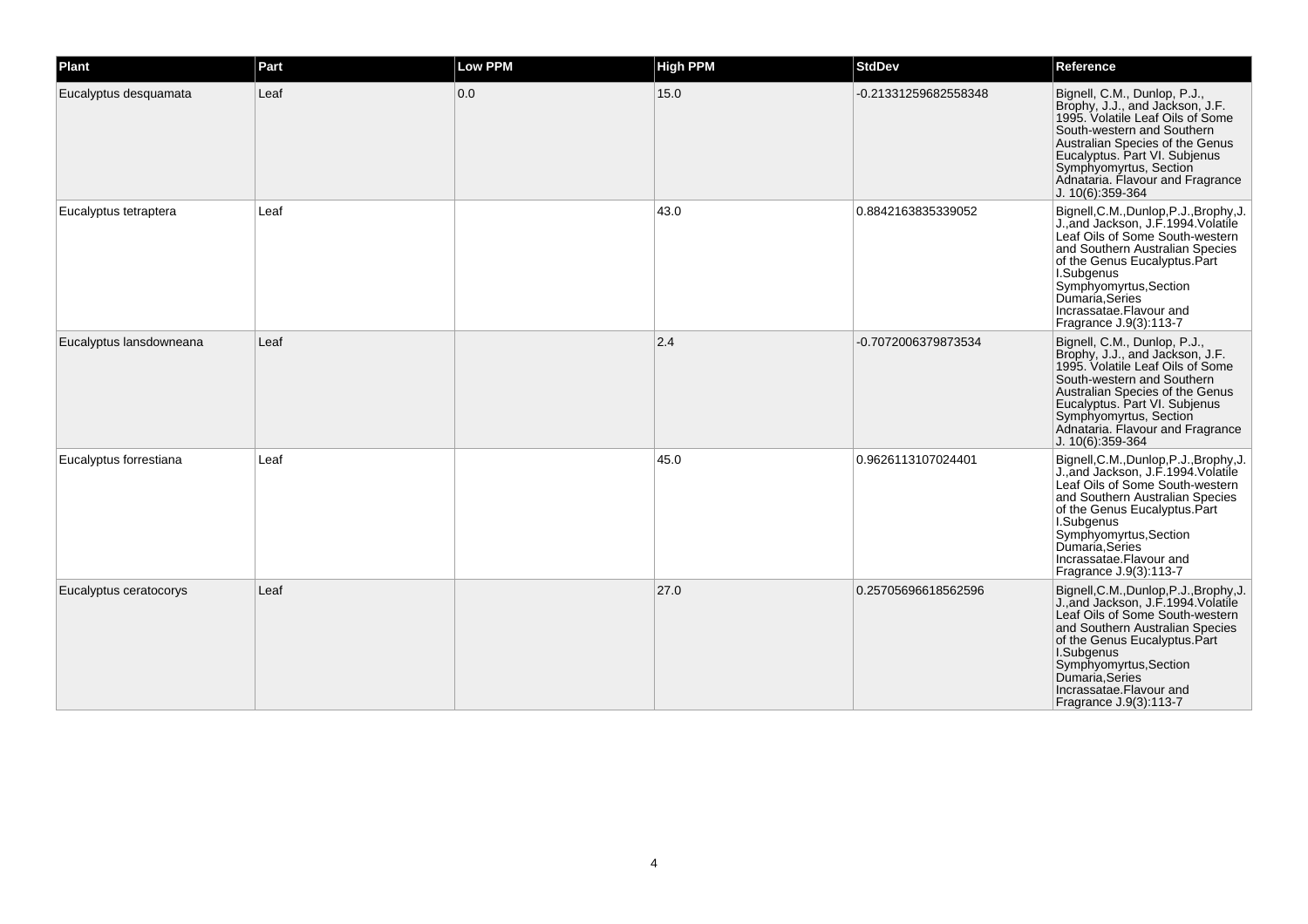| Plant                   | Part | Low PPM | <b>High PPM</b> | <b>StdDev</b>        | Reference                                                                                                                                                                                                                                                                                              |
|-------------------------|------|---------|-----------------|----------------------|--------------------------------------------------------------------------------------------------------------------------------------------------------------------------------------------------------------------------------------------------------------------------------------------------------|
| Eucalyptus desquamata   | Leaf | 0.0     | 15.0            | -0.21331259682558348 | Bignell, C.M., Dunlop, P.J.,<br>Brophy, J.J., and Jackson, J.F.<br>1995. Volatile Leaf Oils of Some<br>South-western and Southern<br>Australian Species of the Genus<br>Eucalyptus. Part VI. Subjenus<br>Symphyomyrtus, Section<br>Adnataria. Flavour and Fragrance<br>J. 10(6):359-364                |
| Eucalyptus tetraptera   | Leaf |         | 43.0            | 0.8842163835339052   | Bignell, C.M., Dunlop, P.J., Brophy, J.<br>J., and Jackson, J.F. 1994. Volatile<br>Leaf Oils of Some South-western<br>and Southern Australian Species<br>of the Genus Eucalyptus.Part<br>I.Subgenus<br>Symphyomyrtus, Section<br>Dumaria, Series<br>Incrassatae.Flavour and<br>Fragrance J.9(3):113-7  |
| Eucalyptus lansdowneana | Leaf |         | 2.4             | -0.7072006379873534  | Bignell, C.M., Dunlop, P.J.,<br>Brophy, J.J., and Jackson, J.F.<br>1995. Volatile Leaf Oils of Some<br>South-western and Southern<br>Australian Species of the Genus<br>Eucalyptus. Part VI. Subjenus<br>Symphyomyrtus, Section<br>Adnataria. Flavour and Fragrance<br>J. 10(6):359-364                |
| Eucalyptus forrestiana  | Leaf |         | 45.0            | 0.9626113107024401   | Bignell, C.M., Dunlop, P.J., Brophy, J.<br>J., and Jackson, J.F. 1994. Volatile<br>Leaf Oils of Some South-western<br>and Southern Australian Species<br>of the Genus Eucalyptus.Part<br>I.Subgenus<br>Symphyomyrtus, Section<br>Dumaria, Series<br>Incrassatae. Flavour and<br>Fragrance J.9(3):113-7 |
| Eucalyptus ceratocorys  | Leaf |         | 27.0            | 0.25705696618562596  | Bignell, C.M., Dunlop, P.J., Brophy, J.<br>J., and Jackson, J.F. 1994. Volatile<br>Leaf Oils of Some South-western<br>and Southern Australian Species<br>of the Genus Eucalyptus.Part<br>I.Subgenus<br>Symphyomyrtus, Section<br>Dumaria, Series<br>Incrassatae.Flavour and<br>Fragrance J.9(3):113-7  |